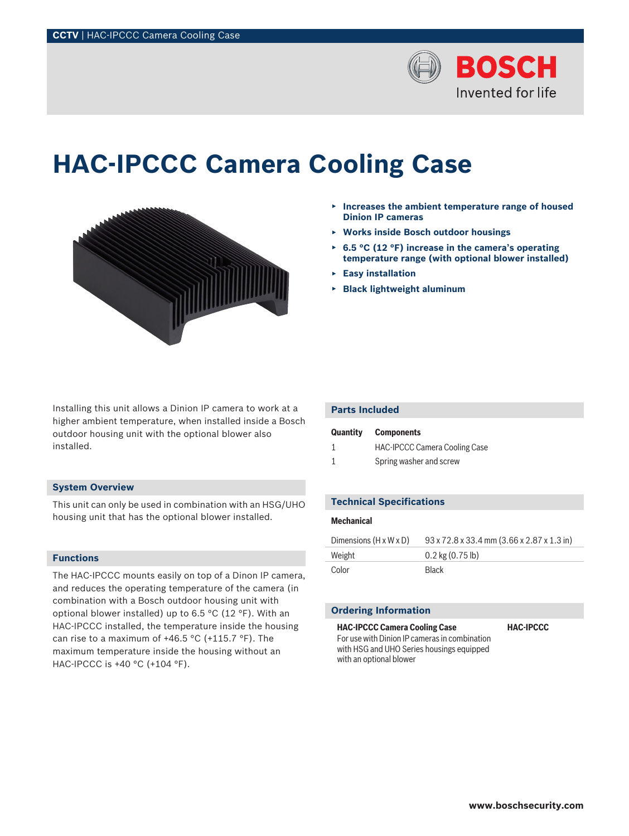

# **HAC‑IPCCC Camera Cooling Case**



- ▶ **Increases the ambient temperature range of housed Dinion IP cameras**
- ▶ **Works inside Bosch outdoor housings**
- ▶ **6.5 °C (12 °F) increase in the camera's operating temperature range (with optional blower installed)**
- ▶ **Easy installation**
- **Black lightweight aluminum**

Installing this unit allows a Dinion IP camera to work at a higher ambient temperature, when installed inside a Bosch outdoor housing unit with the optional blower also installed.

### **System Overview**

This unit can only be used in combination with an HSG/UHO housing unit that has the optional blower installed.

# **Functions**

The HAC‑IPCCC mounts easily on top of a Dinon IP camera, and reduces the operating temperature of the camera (in combination with a Bosch outdoor housing unit with optional blower installed) up to 6.5 °C (12 °F). With an HAC‑IPCCC installed, the temperature inside the housing can rise to a maximum of +46.5 °C (+115.7 °F). The maximum temperature inside the housing without an HAC-IPCCC is +40 °C (+104 °F).

#### **Parts Included**

| Quantity | Components                           |
|----------|--------------------------------------|
|          | <b>HAC-IPCCC Camera Cooling Case</b> |
| -1       | Spring washer and screw              |

# **Technical Specifications**

### **Mechanical**

| Dimensions $(H \times W \times D)$ | 93 x 72.8 x 33.4 mm (3.66 x 2.87 x 1.3 in) |
|------------------------------------|--------------------------------------------|
| Weight                             | $0.2$ kg $(0.75 \, lb)$                    |
| Color                              | <b>Black</b>                               |

## **Ordering Information**

**HAC-IPCCC**

**HAC‑IPCCC Camera Cooling Case** For use with Dinion IP cameras in combination with HSG and UHO Series housings equipped with an optional blower